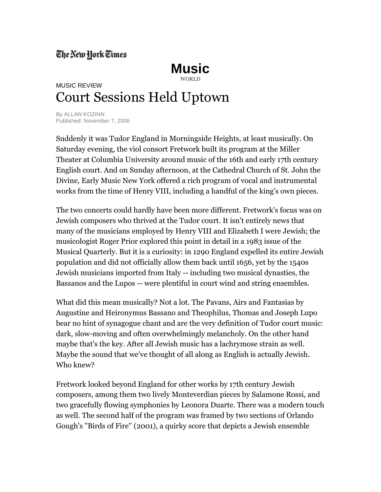## The New Hork Times



## MUSIC REVIEW Court Sessions Held Uptown

By ALLAN KOZINN Published: November 7, 2006

Suddenly it was Tudor England in Morningside Heights, at least musically. On Saturday evening, the viol consort Fretwork built its program at the Miller Theater at Columbia University around music of the 16th and early 17th century English court. And on Sunday afternoon, at the Cathedral Church of St. John the Divine, Early Music New York offered a rich program of vocal and instrumental works from the time of Henry VIII, including a handful of the king's own pieces.

The two concerts could hardly have been more different. Fretwork's focus was on Jewish composers who thrived at the Tudor court. It isn't entirely news that many of the musicians employed by Henry VIII and Elizabeth I were Jewish; the musicologist Roger Prior explored this point in detail in a 1983 issue of the Musical Quarterly. But it is a curiosity: in 1290 England expelled its entire Jewish population and did not officially allow them back until 1656, yet by the 1540s Jewish musicians imported from Italy -- including two musical dynasties, the Bassanos and the Lupos -- were plentiful in court wind and string ensembles.

What did this mean musically? Not a lot. The Pavans, Airs and Fantasias by Augustine and Heironymus Bassano and Theophilus, Thomas and Joseph Lupo bear no hint of synagogue chant and are the very definition of Tudor court music: dark, slow-moving and often overwhelmingly melancholy. On the other hand maybe that's the key. After all Jewish music has a lachrymose strain as well. Maybe the sound that we've thought of all along as English is actually Jewish. Who knew?

Fretwork looked beyond England for other works by 17th century Jewish composers, among them two lively Monteverdian pieces by Salamone Rossi, and two gracefully flowing symphonies by Leonora Duarte. There was a modern touch as well. The second half of the program was framed by two sections of Orlando Gough's ''Birds of Fire'' (2001), a quirky score that depicts a Jewish ensemble